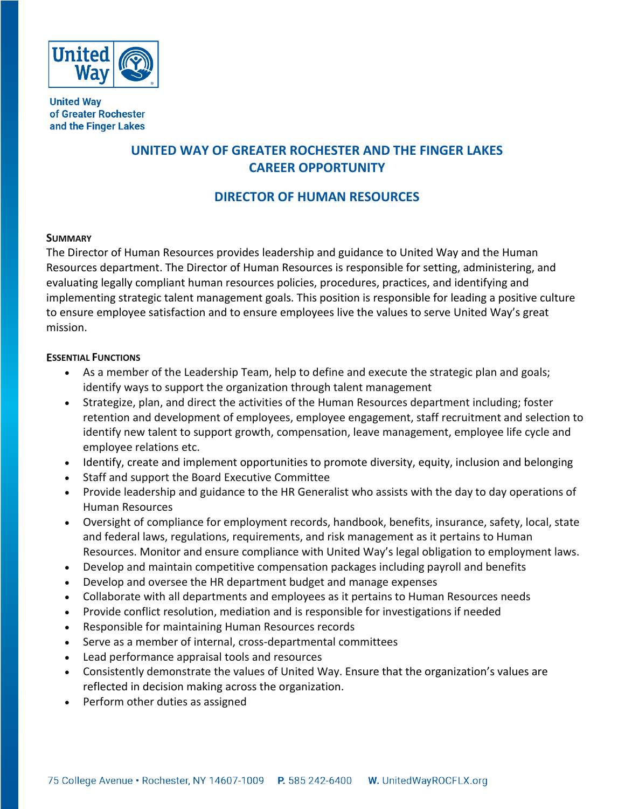

**United Way** of Greater Rochester and the Finger Lakes

# **UNITED WAY OF GREATER ROCHESTER AND THE FINGER LAKES CAREER OPPORTUNITY**

## **DIRECTOR OF HUMAN RESOURCES**

## **SUMMARY**

The Director of Human Resources provides leadership and guidance to United Way and the Human Resources department. The Director of Human Resources is responsible for setting, administering, and evaluating legally compliant human resources policies, procedures, practices, and identifying and implementing strategic talent management goals. This position is responsible for leading a positive culture to ensure employee satisfaction and to ensure employees live the values to serve United Way's great mission.

## **ESSENTIAL FUNCTIONS**

- As a member of the Leadership Team, help to define and execute the strategic plan and goals; identify ways to support the organization through talent management
- Strategize, plan, and direct the activities of the Human Resources department including; foster retention and development of employees, employee engagement, staff recruitment and selection to identify new talent to support growth, compensation, leave management, employee life cycle and employee relations etc.
- Identify, create and implement opportunities to promote diversity, equity, inclusion and belonging
- Staff and support the Board Executive Committee
- Provide leadership and guidance to the HR Generalist who assists with the day to day operations of Human Resources
- Oversight of compliance for employment records, handbook, benefits, insurance, safety, local, state and federal laws, regulations, requirements, and risk management as it pertains to Human Resources. Monitor and ensure compliance with United Way's legal obligation to employment laws.
- Develop and maintain competitive compensation packages including payroll and benefits
- Develop and oversee the HR department budget and manage expenses
- Collaborate with all departments and employees as it pertains to Human Resources needs
- Provide conflict resolution, mediation and is responsible for investigations if needed
- Responsible for maintaining Human Resources records
- Serve as a member of internal, cross-departmental committees
- Lead performance appraisal tools and resources
- Consistently demonstrate the values of United Way. Ensure that the organization's values are reflected in decision making across the organization.
- Perform other duties as assigned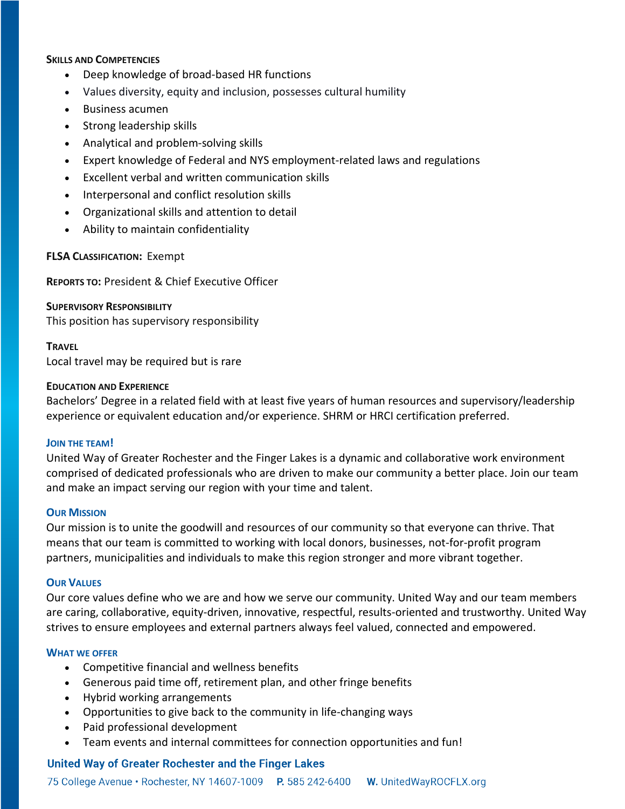## **SKILLS AND COMPETENCIES**

- Deep knowledge of broad-based HR functions
- Values diversity, equity and inclusion, possesses cultural humility
- Business acumen
- Strong leadership skills
- Analytical and problem-solving skills
- Expert knowledge of Federal and NYS employment-related laws and regulations
- Excellent verbal and written communication skills
- Interpersonal and conflict resolution skills
- Organizational skills and attention to detail
- Ability to maintain confidentiality

#### **FLSA CLASSIFICATION:** Exempt

**REPORTS TO:** President & Chief Executive Officer

#### **SUPERVISORY RESPONSIBILITY**

This position has supervisory responsibility

#### **TRAVEL**

Local travel may be required but is rare

#### **EDUCATION AND EXPERIENCE**

Bachelors' Degree in a related field with at least five years of human resources and supervisory/leadership experience or equivalent education and/or experience. SHRM or HRCI certification preferred.

#### **JOIN THE TEAM!**

United Way of Greater Rochester and the Finger Lakes is a dynamic and collaborative work environment comprised of dedicated professionals who are driven to make our community a better place. Join our team and make an impact serving our region with your time and talent.

#### **OUR MISSION**

Our mission is to unite the goodwill and resources of our community so that everyone can thrive. That means that our team is committed to working with local donors, businesses, not-for-profit program partners, municipalities and individuals to make this region stronger and more vibrant together.

#### **OUR VALUES**

Our core values define who we are and how we serve our community. United Way and our team members are caring, collaborative, equity-driven, innovative, respectful, results-oriented and trustworthy. United Way strives to ensure employees and external partners always feel valued, connected and empowered.

#### **WHAT WE OFFER**

- Competitive financial and wellness benefits
- Generous paid time off, retirement plan, and other fringe benefits
- Hybrid working arrangements
- Opportunities to give back to the community in life-changing ways
- Paid professional development
- Team events and internal committees for connection opportunities and fun!

## **United Way of Greater Rochester and the Finger Lakes**